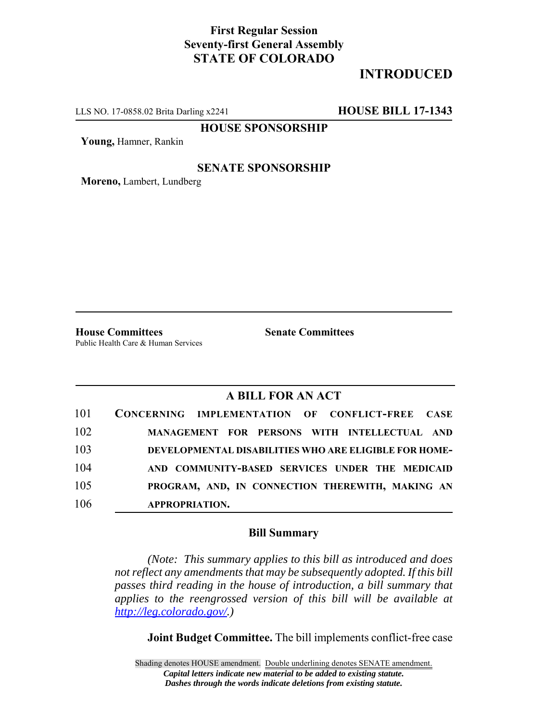## **First Regular Session Seventy-first General Assembly STATE OF COLORADO**

# **INTRODUCED**

LLS NO. 17-0858.02 Brita Darling x2241 **HOUSE BILL 17-1343**

**HOUSE SPONSORSHIP**

**Young,** Hamner, Rankin

### **SENATE SPONSORSHIP**

**Moreno,** Lambert, Lundberg

**House Committees Senate Committees** Public Health Care & Human Services

### **A BILL FOR AN ACT**

| 101 | CONCERNING IMPLEMENTATION OF CONFLICT-FREE CASE              |
|-----|--------------------------------------------------------------|
| 102 | MANAGEMENT FOR PERSONS WITH INTELLECTUAL AND                 |
| 103 | <b>DEVELOPMENTAL DISABILITIES WHO ARE ELIGIBLE FOR HOME-</b> |
| 104 | AND COMMUNITY-BASED SERVICES UNDER THE MEDICAID              |
| 105 | PROGRAM, AND, IN CONNECTION THEREWITH, MAKING AN             |
| 106 | <b>APPROPRIATION.</b>                                        |

#### **Bill Summary**

*(Note: This summary applies to this bill as introduced and does not reflect any amendments that may be subsequently adopted. If this bill passes third reading in the house of introduction, a bill summary that applies to the reengrossed version of this bill will be available at http://leg.colorado.gov/.)*

**Joint Budget Committee.** The bill implements conflict-free case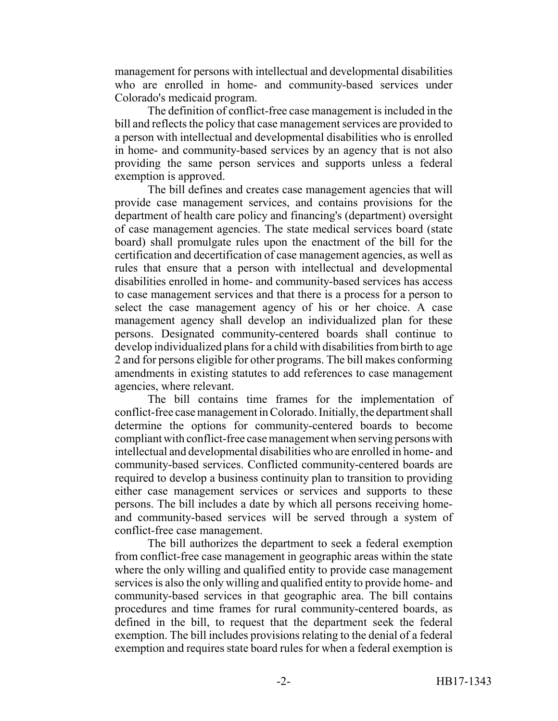management for persons with intellectual and developmental disabilities who are enrolled in home- and community-based services under Colorado's medicaid program.

The definition of conflict-free case management is included in the bill and reflects the policy that case management services are provided to a person with intellectual and developmental disabilities who is enrolled in home- and community-based services by an agency that is not also providing the same person services and supports unless a federal exemption is approved.

The bill defines and creates case management agencies that will provide case management services, and contains provisions for the department of health care policy and financing's (department) oversight of case management agencies. The state medical services board (state board) shall promulgate rules upon the enactment of the bill for the certification and decertification of case management agencies, as well as rules that ensure that a person with intellectual and developmental disabilities enrolled in home- and community-based services has access to case management services and that there is a process for a person to select the case management agency of his or her choice. A case management agency shall develop an individualized plan for these persons. Designated community-centered boards shall continue to develop individualized plans for a child with disabilities from birth to age 2 and for persons eligible for other programs. The bill makes conforming amendments in existing statutes to add references to case management agencies, where relevant.

The bill contains time frames for the implementation of conflict-free case management in Colorado. Initially, the department shall determine the options for community-centered boards to become compliant with conflict-free case management when serving persons with intellectual and developmental disabilities who are enrolled in home- and community-based services. Conflicted community-centered boards are required to develop a business continuity plan to transition to providing either case management services or services and supports to these persons. The bill includes a date by which all persons receiving homeand community-based services will be served through a system of conflict-free case management.

The bill authorizes the department to seek a federal exemption from conflict-free case management in geographic areas within the state where the only willing and qualified entity to provide case management services is also the only willing and qualified entity to provide home- and community-based services in that geographic area. The bill contains procedures and time frames for rural community-centered boards, as defined in the bill, to request that the department seek the federal exemption. The bill includes provisions relating to the denial of a federal exemption and requires state board rules for when a federal exemption is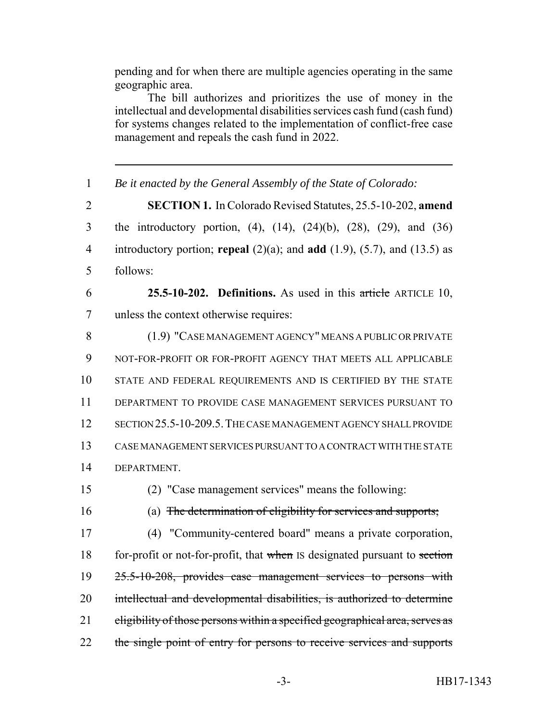pending and for when there are multiple agencies operating in the same geographic area.

The bill authorizes and prioritizes the use of money in the intellectual and developmental disabilities services cash fund (cash fund) for systems changes related to the implementation of conflict-free case management and repeals the cash fund in 2022.

 *Be it enacted by the General Assembly of the State of Colorado:* **SECTION 1.** In Colorado Revised Statutes, 25.5-10-202, **amend** the introductory portion, (4), (14), (24)(b), (28), (29), and (36) introductory portion; **repeal** (2)(a); and **add** (1.9), (5.7), and (13.5) as follows: **25.5-10-202. Definitions.** As used in this article ARTICLE 10, unless the context otherwise requires: (1.9) "CASE MANAGEMENT AGENCY" MEANS A PUBLIC OR PRIVATE NOT-FOR-PROFIT OR FOR-PROFIT AGENCY THAT MEETS ALL APPLICABLE STATE AND FEDERAL REQUIREMENTS AND IS CERTIFIED BY THE STATE DEPARTMENT TO PROVIDE CASE MANAGEMENT SERVICES PURSUANT TO SECTION 25.5-10-209.5.THE CASE MANAGEMENT AGENCY SHALL PROVIDE CASE MANAGEMENT SERVICES PURSUANT TO A CONTRACT WITH THE STATE 14 DEPARTMENT (2) "Case management services" means the following: (a) The determination of eligibility for services and supports; (4) "Community-centered board" means a private corporation, 18 for-profit or not-for-profit, that when IS designated pursuant to section 25.5-10-208, provides case management services to persons with intellectual and developmental disabilities, is authorized to determine 21 eligibility of those persons within a specified geographical area, serves as 22 the single point of entry for persons to receive services and supports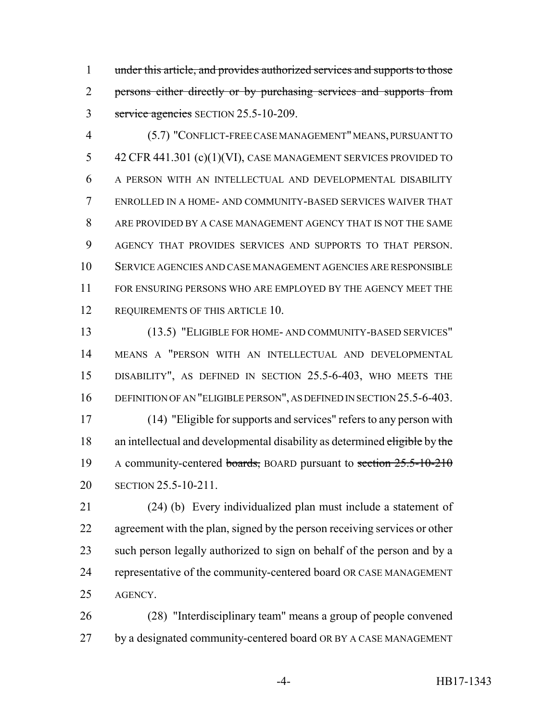under this article, and provides authorized services and supports to those 2 persons either directly or by purchasing services and supports from 3 service agencies SECTION 25.5-10-209.

 (5.7) "CONFLICT-FREE CASE MANAGEMENT" MEANS, PURSUANT TO 42 CFR 441.301 (c)(1)(VI), CASE MANAGEMENT SERVICES PROVIDED TO A PERSON WITH AN INTELLECTUAL AND DEVELOPMENTAL DISABILITY ENROLLED IN A HOME- AND COMMUNITY-BASED SERVICES WAIVER THAT ARE PROVIDED BY A CASE MANAGEMENT AGENCY THAT IS NOT THE SAME AGENCY THAT PROVIDES SERVICES AND SUPPORTS TO THAT PERSON. SERVICE AGENCIES AND CASE MANAGEMENT AGENCIES ARE RESPONSIBLE 11 FOR ENSURING PERSONS WHO ARE EMPLOYED BY THE AGENCY MEET THE 12 REQUIREMENTS OF THIS ARTICLE 10.

 (13.5) "ELIGIBLE FOR HOME- AND COMMUNITY-BASED SERVICES" MEANS A "PERSON WITH AN INTELLECTUAL AND DEVELOPMENTAL DISABILITY", AS DEFINED IN SECTION 25.5-6-403, WHO MEETS THE 16 DEFINITION OF AN "ELIGIBLE PERSON", AS DEFINED IN SECTION 25.5-6-403. (14) "Eligible for supports and services" refers to any person with

18 an intellectual and developmental disability as determined eligible by the 19 A community-centered boards, BOARD pursuant to section 25.5-10-210 SECTION 25.5-10-211.

 (24) (b) Every individualized plan must include a statement of 22 agreement with the plan, signed by the person receiving services or other such person legally authorized to sign on behalf of the person and by a representative of the community-centered board OR CASE MANAGEMENT AGENCY.

 (28) "Interdisciplinary team" means a group of people convened by a designated community-centered board OR BY A CASE MANAGEMENT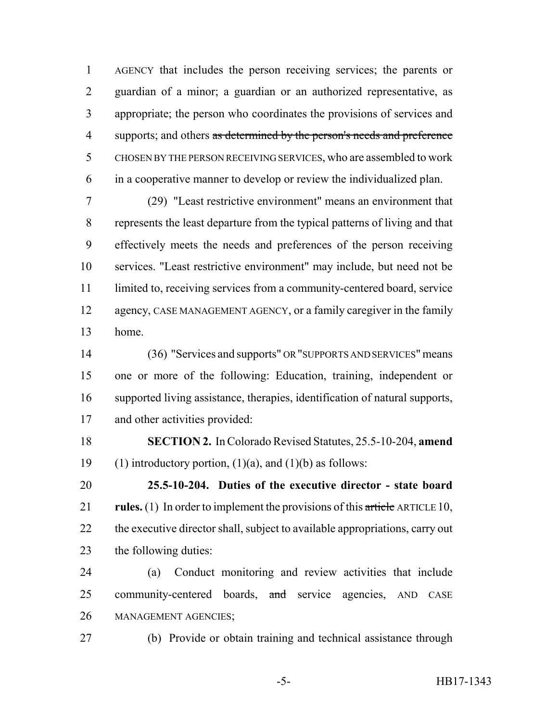AGENCY that includes the person receiving services; the parents or guardian of a minor; a guardian or an authorized representative, as appropriate; the person who coordinates the provisions of services and 4 supports; and others as determined by the person's needs and preference CHOSEN BY THE PERSON RECEIVING SERVICES, who are assembled to work in a cooperative manner to develop or review the individualized plan.

 (29) "Least restrictive environment" means an environment that represents the least departure from the typical patterns of living and that effectively meets the needs and preferences of the person receiving services. "Least restrictive environment" may include, but need not be limited to, receiving services from a community-centered board, service 12 agency, CASE MANAGEMENT AGENCY, or a family caregiver in the family home.

 (36) "Services and supports" OR "SUPPORTS AND SERVICES" means one or more of the following: Education, training, independent or supported living assistance, therapies, identification of natural supports, and other activities provided:

 **SECTION 2.** In Colorado Revised Statutes, 25.5-10-204, **amend** 19 (1) introductory portion,  $(1)(a)$ , and  $(1)(b)$  as follows:

 **25.5-10-204. Duties of the executive director - state board rules.** (1) In order to implement the provisions of this article ARTICLE 10, 22 the executive director shall, subject to available appropriations, carry out the following duties:

 (a) Conduct monitoring and review activities that include 25 community-centered boards, and service agencies, AND CASE MANAGEMENT AGENCIES;

(b) Provide or obtain training and technical assistance through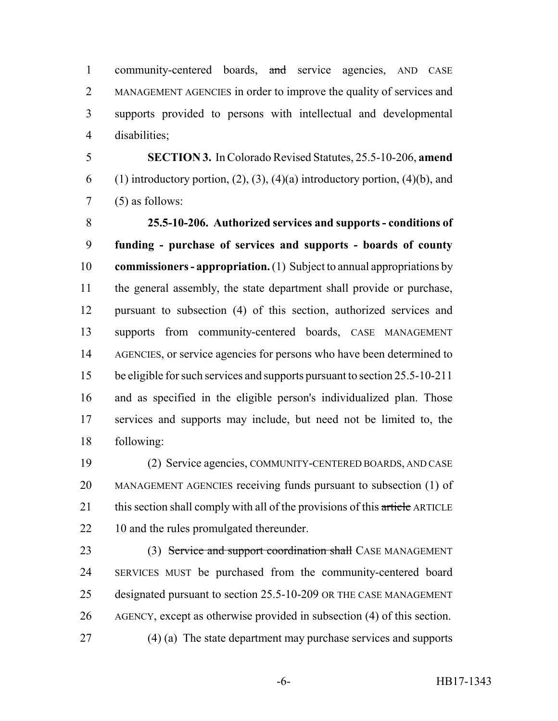1 community-centered boards, and service agencies, AND CASE MANAGEMENT AGENCIES in order to improve the quality of services and supports provided to persons with intellectual and developmental disabilities;

 **SECTION 3.** In Colorado Revised Statutes, 25.5-10-206, **amend** 6 (1) introductory portion,  $(2)$ ,  $(3)$ ,  $(4)(a)$  introductory portion,  $(4)(b)$ , and (5) as follows:

 **25.5-10-206. Authorized services and supports - conditions of funding - purchase of services and supports - boards of county commissioners - appropriation.** (1) Subject to annual appropriations by the general assembly, the state department shall provide or purchase, pursuant to subsection (4) of this section, authorized services and supports from community-centered boards, CASE MANAGEMENT 14 AGENCIES, or service agencies for persons who have been determined to be eligible for such services and supports pursuant to section 25.5-10-211 and as specified in the eligible person's individualized plan. Those services and supports may include, but need not be limited to, the following:

 (2) Service agencies, COMMUNITY-CENTERED BOARDS, AND CASE MANAGEMENT AGENCIES receiving funds pursuant to subsection (1) of 21 this section shall comply with all of the provisions of this article ARTICLE 22 10 and the rules promulgated thereunder.

23 (3) Service and support coordination shall CASE MANAGEMENT SERVICES MUST be purchased from the community-centered board designated pursuant to section 25.5-10-209 OR THE CASE MANAGEMENT AGENCY, except as otherwise provided in subsection (4) of this section. (4) (a) The state department may purchase services and supports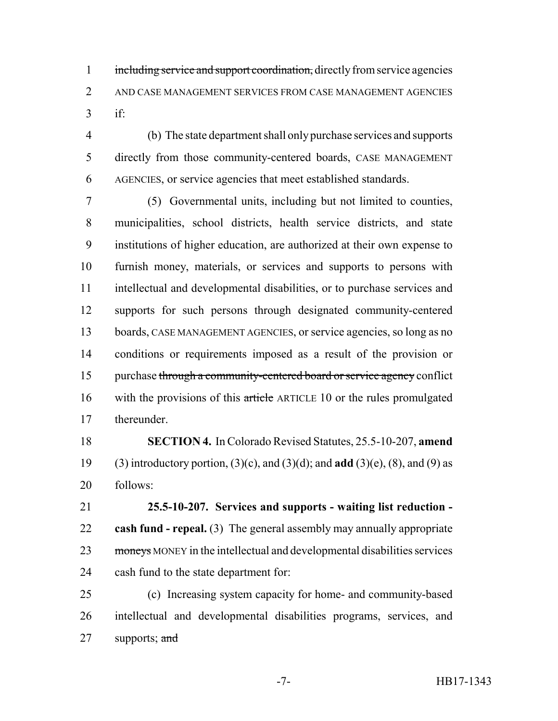1 including service and support coordination, directly from service agencies AND CASE MANAGEMENT SERVICES FROM CASE MANAGEMENT AGENCIES if:

 (b) The state department shall only purchase services and supports directly from those community-centered boards, CASE MANAGEMENT AGENCIES, or service agencies that meet established standards.

 (5) Governmental units, including but not limited to counties, municipalities, school districts, health service districts, and state institutions of higher education, are authorized at their own expense to furnish money, materials, or services and supports to persons with intellectual and developmental disabilities, or to purchase services and supports for such persons through designated community-centered boards, CASE MANAGEMENT AGENCIES, or service agencies, so long as no conditions or requirements imposed as a result of the provision or 15 purchase through a community-centered board or service agency conflict 16 with the provisions of this article ARTICLE 10 or the rules promulgated thereunder.

 **SECTION 4.** In Colorado Revised Statutes, 25.5-10-207, **amend** (3) introductory portion, (3)(c), and (3)(d); and **add** (3)(e), (8), and (9) as follows:

 **25.5-10-207. Services and supports - waiting list reduction - cash fund - repeal.** (3) The general assembly may annually appropriate 23 moneys MONEY in the intellectual and developmental disabilities services cash fund to the state department for:

 (c) Increasing system capacity for home- and community-based intellectual and developmental disabilities programs, services, and 27 supports;  $\frac{and}{}$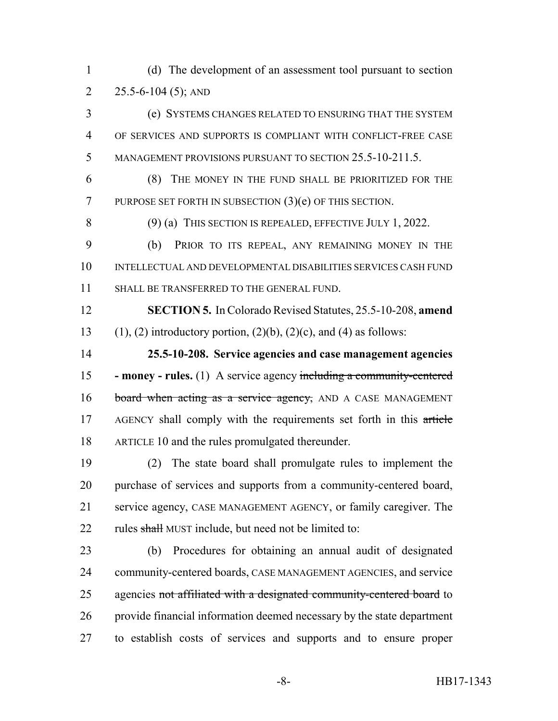(d) The development of an assessment tool pursuant to section 2 25.5-6-104 (5); AND

 (e) SYSTEMS CHANGES RELATED TO ENSURING THAT THE SYSTEM OF SERVICES AND SUPPORTS IS COMPLIANT WITH CONFLICT-FREE CASE MANAGEMENT PROVISIONS PURSUANT TO SECTION 25.5-10-211.5.

 (8) THE MONEY IN THE FUND SHALL BE PRIORITIZED FOR THE PURPOSE SET FORTH IN SUBSECTION (3)(e) OF THIS SECTION.

8 (9) (a) THIS SECTION IS REPEALED, EFFECTIVE JULY 1, 2022.

 (b) PRIOR TO ITS REPEAL, ANY REMAINING MONEY IN THE INTELLECTUAL AND DEVELOPMENTAL DISABILITIES SERVICES CASH FUND SHALL BE TRANSFERRED TO THE GENERAL FUND.

 **SECTION 5.** In Colorado Revised Statutes, 25.5-10-208, **amend** 13 (1), (2) introductory portion,  $(2)(b)$ ,  $(2)(c)$ , and (4) as follows:

 **25.5-10-208. Service agencies and case management agencies - money - rules.** (1) A service agency including a community-centered 16 board when acting as a service agency, AND A CASE MANAGEMENT 17 AGENCY shall comply with the requirements set forth in this article ARTICLE 10 and the rules promulgated thereunder.

 (2) The state board shall promulgate rules to implement the purchase of services and supports from a community-centered board, service agency, CASE MANAGEMENT AGENCY, or family caregiver. The 22 rules shall MUST include, but need not be limited to:

 (b) Procedures for obtaining an annual audit of designated community-centered boards, CASE MANAGEMENT AGENCIES, and service 25 agencies not affiliated with a designated community-centered board to provide financial information deemed necessary by the state department to establish costs of services and supports and to ensure proper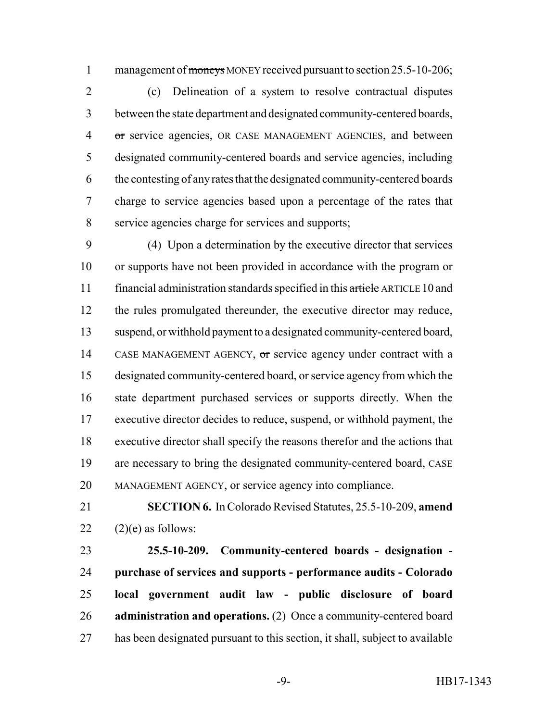1 management of moneys MONEY received pursuant to section 25.5-10-206;

 (c) Delineation of a system to resolve contractual disputes between the state department and designated community-centered boards, or service agencies, OR CASE MANAGEMENT AGENCIES, and between designated community-centered boards and service agencies, including the contesting of any rates that the designated community-centered boards charge to service agencies based upon a percentage of the rates that service agencies charge for services and supports;

 (4) Upon a determination by the executive director that services or supports have not been provided in accordance with the program or 11 financial administration standards specified in this article ARTICLE 10 and the rules promulgated thereunder, the executive director may reduce, suspend, or withhold payment to a designated community-centered board, CASE MANAGEMENT AGENCY, or service agency under contract with a designated community-centered board, or service agency from which the state department purchased services or supports directly. When the executive director decides to reduce, suspend, or withhold payment, the executive director shall specify the reasons therefor and the actions that are necessary to bring the designated community-centered board, CASE MANAGEMENT AGENCY, or service agency into compliance.

 **SECTION 6.** In Colorado Revised Statutes, 25.5-10-209, **amend** 22  $(2)(e)$  as follows:

 **25.5-10-209. Community-centered boards - designation - purchase of services and supports - performance audits - Colorado local government audit law - public disclosure of board administration and operations.** (2) Once a community-centered board has been designated pursuant to this section, it shall, subject to available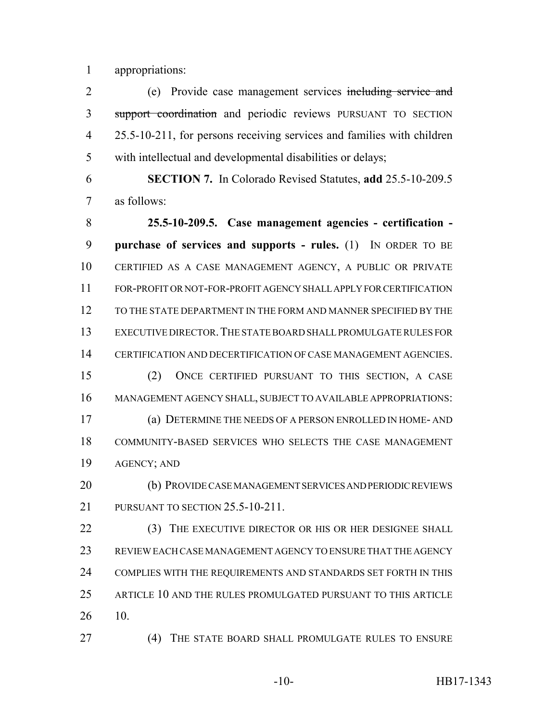appropriations:

 (e) Provide case management services including service and 3 support coordination and periodic reviews PURSUANT TO SECTION 25.5-10-211, for persons receiving services and families with children with intellectual and developmental disabilities or delays;

 **SECTION 7.** In Colorado Revised Statutes, **add** 25.5-10-209.5 as follows:

 **25.5-10-209.5. Case management agencies - certification - purchase of services and supports - rules.** (1) IN ORDER TO BE CERTIFIED AS A CASE MANAGEMENT AGENCY, A PUBLIC OR PRIVATE FOR-PROFIT OR NOT-FOR-PROFIT AGENCY SHALL APPLY FOR CERTIFICATION TO THE STATE DEPARTMENT IN THE FORM AND MANNER SPECIFIED BY THE EXECUTIVE DIRECTOR.THE STATE BOARD SHALL PROMULGATE RULES FOR CERTIFICATION AND DECERTIFICATION OF CASE MANAGEMENT AGENCIES. (2) ONCE CERTIFIED PURSUANT TO THIS SECTION, A CASE MANAGEMENT AGENCY SHALL, SUBJECT TO AVAILABLE APPROPRIATIONS: (a) DETERMINE THE NEEDS OF A PERSON ENROLLED IN HOME- AND COMMUNITY-BASED SERVICES WHO SELECTS THE CASE MANAGEMENT AGENCY; AND

 (b) PROVIDE CASE MANAGEMENT SERVICES AND PERIODIC REVIEWS 21 PURSUANT TO SECTION 25.5-10-211.

22 (3) THE EXECUTIVE DIRECTOR OR HIS OR HER DESIGNEE SHALL REVIEW EACH CASE MANAGEMENT AGENCY TO ENSURE THAT THE AGENCY COMPLIES WITH THE REQUIREMENTS AND STANDARDS SET FORTH IN THIS ARTICLE 10 AND THE RULES PROMULGATED PURSUANT TO THIS ARTICLE 10.

(4) THE STATE BOARD SHALL PROMULGATE RULES TO ENSURE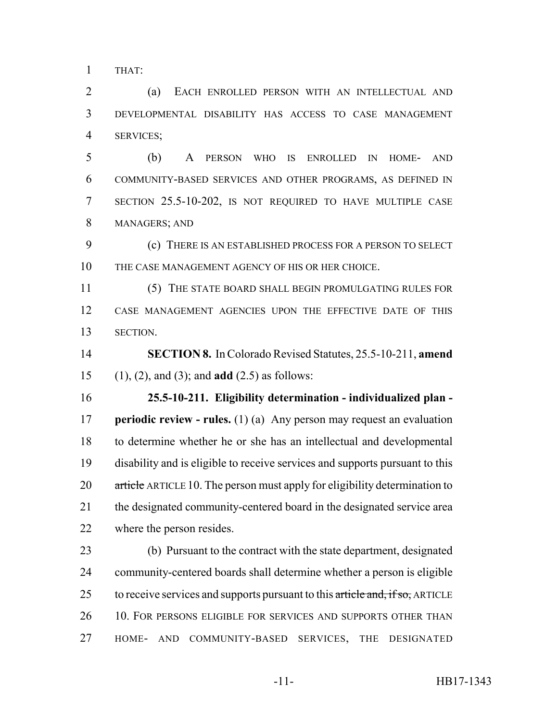THAT:

 (a) EACH ENROLLED PERSON WITH AN INTELLECTUAL AND DEVELOPMENTAL DISABILITY HAS ACCESS TO CASE MANAGEMENT SERVICES;

 (b) A PERSON WHO IS ENROLLED IN HOME- AND COMMUNITY-BASED SERVICES AND OTHER PROGRAMS, AS DEFINED IN SECTION 25.5-10-202, IS NOT REQUIRED TO HAVE MULTIPLE CASE MANAGERS; AND

 (c) THERE IS AN ESTABLISHED PROCESS FOR A PERSON TO SELECT THE CASE MANAGEMENT AGENCY OF HIS OR HER CHOICE.

 (5) THE STATE BOARD SHALL BEGIN PROMULGATING RULES FOR CASE MANAGEMENT AGENCIES UPON THE EFFECTIVE DATE OF THIS SECTION.

 **SECTION 8.** In Colorado Revised Statutes, 25.5-10-211, **amend** (1), (2), and (3); and **add** (2.5) as follows:

 **25.5-10-211. Eligibility determination - individualized plan - periodic review - rules.** (1) (a) Any person may request an evaluation to determine whether he or she has an intellectual and developmental disability and is eligible to receive services and supports pursuant to this 20 article ARTICLE 10. The person must apply for eligibility determination to the designated community-centered board in the designated service area where the person resides.

 (b) Pursuant to the contract with the state department, designated community-centered boards shall determine whether a person is eligible 25 to receive services and supports pursuant to this article and, if so, ARTICLE 26 10. FOR PERSONS ELIGIBLE FOR SERVICES AND SUPPORTS OTHER THAN HOME- AND COMMUNITY-BASED SERVICES, THE DESIGNATED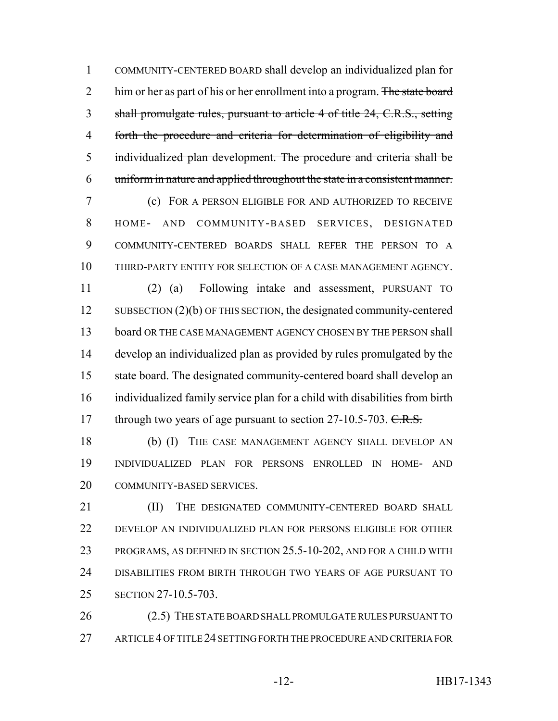COMMUNITY-CENTERED BOARD shall develop an individualized plan for 2 him or her as part of his or her enrollment into a program. The state board shall promulgate rules, pursuant to article 4 of title 24, C.R.S., setting forth the procedure and criteria for determination of eligibility and individualized plan development. The procedure and criteria shall be uniform in nature and applied throughout the state in a consistent manner.

 (c) FOR A PERSON ELIGIBLE FOR AND AUTHORIZED TO RECEIVE HOME- AND COMMUNITY-BASED SERVICES, DESIGNATED COMMUNITY-CENTERED BOARDS SHALL REFER THE PERSON TO A THIRD-PARTY ENTITY FOR SELECTION OF A CASE MANAGEMENT AGENCY.

 (2) (a) Following intake and assessment, PURSUANT TO SUBSECTION (2)(b) OF THIS SECTION, the designated community-centered 13 board OR THE CASE MANAGEMENT AGENCY CHOSEN BY THE PERSON shall develop an individualized plan as provided by rules promulgated by the state board. The designated community-centered board shall develop an individualized family service plan for a child with disabilities from birth 17 through two years of age pursuant to section 27-10.5-703. C.R.S.

 (b) (I) THE CASE MANAGEMENT AGENCY SHALL DEVELOP AN INDIVIDUALIZED PLAN FOR PERSONS ENROLLED IN HOME- AND COMMUNITY-BASED SERVICES.

**III)** THE DESIGNATED COMMUNITY-CENTERED BOARD SHALL DEVELOP AN INDIVIDUALIZED PLAN FOR PERSONS ELIGIBLE FOR OTHER PROGRAMS, AS DEFINED IN SECTION 25.5-10-202, AND FOR A CHILD WITH DISABILITIES FROM BIRTH THROUGH TWO YEARS OF AGE PURSUANT TO SECTION 27-10.5-703.

26 (2.5) THE STATE BOARD SHALL PROMULGATE RULES PURSUANT TO ARTICLE 4 OF TITLE 24 SETTING FORTH THE PROCEDURE AND CRITERIA FOR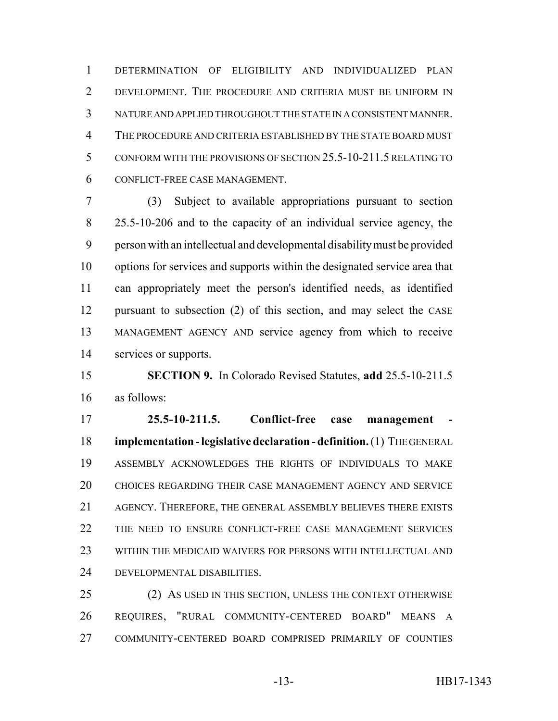DETERMINATION OF ELIGIBILITY AND INDIVIDUALIZED PLAN DEVELOPMENT. THE PROCEDURE AND CRITERIA MUST BE UNIFORM IN NATURE AND APPLIED THROUGHOUT THE STATE IN A CONSISTENT MANNER. THE PROCEDURE AND CRITERIA ESTABLISHED BY THE STATE BOARD MUST CONFORM WITH THE PROVISIONS OF SECTION 25.5-10-211.5 RELATING TO CONFLICT-FREE CASE MANAGEMENT.

 (3) Subject to available appropriations pursuant to section 25.5-10-206 and to the capacity of an individual service agency, the person with an intellectual and developmental disability must be provided options for services and supports within the designated service area that can appropriately meet the person's identified needs, as identified pursuant to subsection (2) of this section, and may select the CASE MANAGEMENT AGENCY AND service agency from which to receive services or supports.

 **SECTION 9.** In Colorado Revised Statutes, **add** 25.5-10-211.5 as follows:

 **25.5-10-211.5. Conflict-free case management - implementation - legislative declaration - definition.** (1) THE GENERAL ASSEMBLY ACKNOWLEDGES THE RIGHTS OF INDIVIDUALS TO MAKE CHOICES REGARDING THEIR CASE MANAGEMENT AGENCY AND SERVICE AGENCY. THEREFORE, THE GENERAL ASSEMBLY BELIEVES THERE EXISTS 22 THE NEED TO ENSURE CONFLICT-FREE CASE MANAGEMENT SERVICES WITHIN THE MEDICAID WAIVERS FOR PERSONS WITH INTELLECTUAL AND DEVELOPMENTAL DISABILITIES.

 (2) AS USED IN THIS SECTION, UNLESS THE CONTEXT OTHERWISE REQUIRES, "RURAL COMMUNITY-CENTERED BOARD" MEANS A COMMUNITY-CENTERED BOARD COMPRISED PRIMARILY OF COUNTIES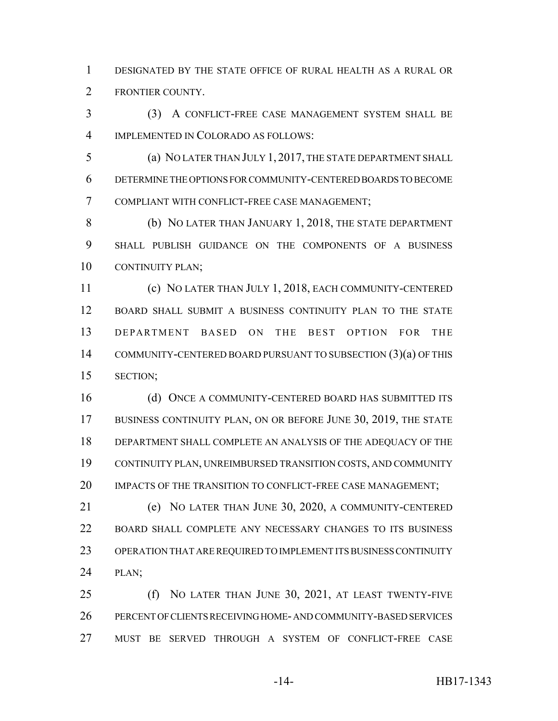DESIGNATED BY THE STATE OFFICE OF RURAL HEALTH AS A RURAL OR FRONTIER COUNTY.

 (3) A CONFLICT-FREE CASE MANAGEMENT SYSTEM SHALL BE IMPLEMENTED IN COLORADO AS FOLLOWS:

 (a) NO LATER THAN JULY 1, 2017, THE STATE DEPARTMENT SHALL DETERMINE THE OPTIONS FOR COMMUNITY-CENTERED BOARDS TO BECOME COMPLIANT WITH CONFLICT-FREE CASE MANAGEMENT;

 (b) NO LATER THAN JANUARY 1, 2018, THE STATE DEPARTMENT SHALL PUBLISH GUIDANCE ON THE COMPONENTS OF A BUSINESS CONTINUITY PLAN;

 (c) NO LATER THAN JULY 1, 2018, EACH COMMUNITY-CENTERED BOARD SHALL SUBMIT A BUSINESS CONTINUITY PLAN TO THE STATE DEPARTMENT BASED ON THE BEST OPTION FOR THE COMMUNITY-CENTERED BOARD PURSUANT TO SUBSECTION (3)(a) OF THIS SECTION;

16 (d) ONCE A COMMUNITY-CENTERED BOARD HAS SUBMITTED ITS 17 BUSINESS CONTINUITY PLAN, ON OR BEFORE JUNE 30, 2019, THE STATE DEPARTMENT SHALL COMPLETE AN ANALYSIS OF THE ADEQUACY OF THE CONTINUITY PLAN, UNREIMBURSED TRANSITION COSTS, AND COMMUNITY 20 IMPACTS OF THE TRANSITION TO CONFLICT-FREE CASE MANAGEMENT;

 (e) NO LATER THAN JUNE 30, 2020, A COMMUNITY-CENTERED BOARD SHALL COMPLETE ANY NECESSARY CHANGES TO ITS BUSINESS OPERATION THAT ARE REQUIRED TO IMPLEMENT ITS BUSINESS CONTINUITY PLAN;

 (f) NO LATER THAN JUNE 30, 2021, AT LEAST TWENTY-FIVE PERCENT OF CLIENTS RECEIVING HOME- AND COMMUNITY-BASED SERVICES MUST BE SERVED THROUGH A SYSTEM OF CONFLICT-FREE CASE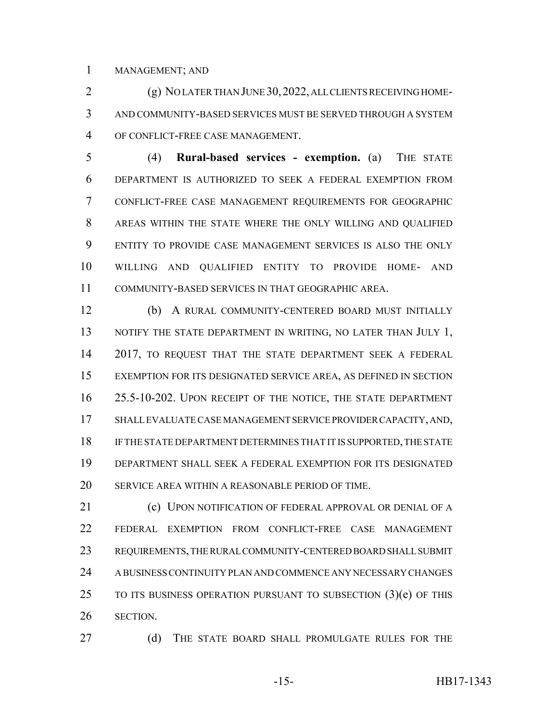MANAGEMENT; AND

 (g) NO LATER THAN JUNE 30,2022, ALL CLIENTS RECEIVING HOME- AND COMMUNITY-BASED SERVICES MUST BE SERVED THROUGH A SYSTEM OF CONFLICT-FREE CASE MANAGEMENT.

 (4) **Rural-based services - exemption.** (a) THE STATE DEPARTMENT IS AUTHORIZED TO SEEK A FEDERAL EXEMPTION FROM CONFLICT-FREE CASE MANAGEMENT REQUIREMENTS FOR GEOGRAPHIC AREAS WITHIN THE STATE WHERE THE ONLY WILLING AND QUALIFIED ENTITY TO PROVIDE CASE MANAGEMENT SERVICES IS ALSO THE ONLY WILLING AND QUALIFIED ENTITY TO PROVIDE HOME- AND COMMUNITY-BASED SERVICES IN THAT GEOGRAPHIC AREA.

 (b) A RURAL COMMUNITY-CENTERED BOARD MUST INITIALLY 13 NOTIFY THE STATE DEPARTMENT IN WRITING, NO LATER THAN JULY 1, 14 2017, TO REQUEST THAT THE STATE DEPARTMENT SEEK A FEDERAL EXEMPTION FOR ITS DESIGNATED SERVICE AREA, AS DEFINED IN SECTION 25.5-10-202. UPON RECEIPT OF THE NOTICE, THE STATE DEPARTMENT SHALL EVALUATE CASE MANAGEMENT SERVICE PROVIDER CAPACITY, AND, IF THE STATE DEPARTMENT DETERMINES THAT IT IS SUPPORTED, THE STATE DEPARTMENT SHALL SEEK A FEDERAL EXEMPTION FOR ITS DESIGNATED SERVICE AREA WITHIN A REASONABLE PERIOD OF TIME.

**(c) UPON NOTIFICATION OF FEDERAL APPROVAL OR DENIAL OF A**  FEDERAL EXEMPTION FROM CONFLICT-FREE CASE MANAGEMENT REQUIREMENTS, THE RURAL COMMUNITY-CENTERED BOARD SHALL SUBMIT A BUSINESS CONTINUITY PLAN AND COMMENCE ANY NECESSARY CHANGES TO ITS BUSINESS OPERATION PURSUANT TO SUBSECTION (3)(e) OF THIS SECTION.

27 (d) THE STATE BOARD SHALL PROMULGATE RULES FOR THE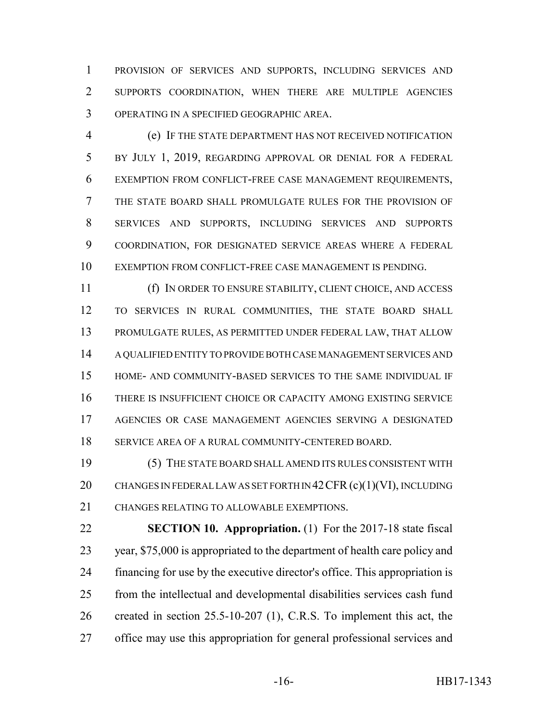PROVISION OF SERVICES AND SUPPORTS, INCLUDING SERVICES AND SUPPORTS COORDINATION, WHEN THERE ARE MULTIPLE AGENCIES OPERATING IN A SPECIFIED GEOGRAPHIC AREA.

 (e) IF THE STATE DEPARTMENT HAS NOT RECEIVED NOTIFICATION BY JULY 1, 2019, REGARDING APPROVAL OR DENIAL FOR A FEDERAL EXEMPTION FROM CONFLICT-FREE CASE MANAGEMENT REQUIREMENTS, THE STATE BOARD SHALL PROMULGATE RULES FOR THE PROVISION OF SERVICES AND SUPPORTS, INCLUDING SERVICES AND SUPPORTS COORDINATION, FOR DESIGNATED SERVICE AREAS WHERE A FEDERAL EXEMPTION FROM CONFLICT-FREE CASE MANAGEMENT IS PENDING.

 (f) IN ORDER TO ENSURE STABILITY, CLIENT CHOICE, AND ACCESS TO SERVICES IN RURAL COMMUNITIES, THE STATE BOARD SHALL PROMULGATE RULES, AS PERMITTED UNDER FEDERAL LAW, THAT ALLOW A QUALIFIED ENTITY TO PROVIDE BOTH CASE MANAGEMENT SERVICES AND HOME- AND COMMUNITY-BASED SERVICES TO THE SAME INDIVIDUAL IF THERE IS INSUFFICIENT CHOICE OR CAPACITY AMONG EXISTING SERVICE AGENCIES OR CASE MANAGEMENT AGENCIES SERVING A DESIGNATED SERVICE AREA OF A RURAL COMMUNITY-CENTERED BOARD.

 (5) THE STATE BOARD SHALL AMEND ITS RULES CONSISTENT WITH 20 CHANGES IN FEDERAL LAW AS SET FORTH IN 42 CFR (c)(1)(VI), INCLUDING CHANGES RELATING TO ALLOWABLE EXEMPTIONS.

 **SECTION 10. Appropriation.** (1) For the 2017-18 state fiscal year, \$75,000 is appropriated to the department of health care policy and financing for use by the executive director's office. This appropriation is from the intellectual and developmental disabilities services cash fund created in section 25.5-10-207 (1), C.R.S. To implement this act, the office may use this appropriation for general professional services and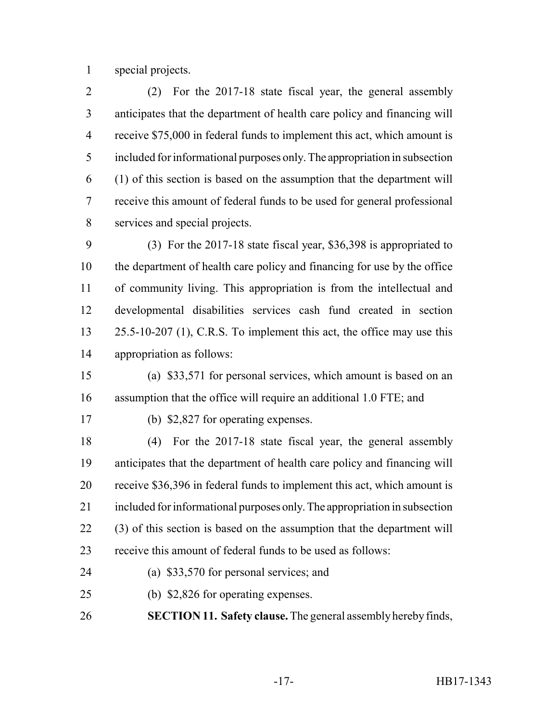special projects.

 (2) For the 2017-18 state fiscal year, the general assembly anticipates that the department of health care policy and financing will receive \$75,000 in federal funds to implement this act, which amount is included for informational purposes only. The appropriation in subsection (1) of this section is based on the assumption that the department will receive this amount of federal funds to be used for general professional services and special projects.

 (3) For the 2017-18 state fiscal year, \$36,398 is appropriated to the department of health care policy and financing for use by the office of community living. This appropriation is from the intellectual and developmental disabilities services cash fund created in section 13 25.5-10-207 (1), C.R.S. To implement this act, the office may use this appropriation as follows:

 (a) \$33,571 for personal services, which amount is based on an assumption that the office will require an additional 1.0 FTE; and

(b) \$2,827 for operating expenses.

 (4) For the 2017-18 state fiscal year, the general assembly anticipates that the department of health care policy and financing will receive \$36,396 in federal funds to implement this act, which amount is included for informational purposes only. The appropriation in subsection (3) of this section is based on the assumption that the department will receive this amount of federal funds to be used as follows:

- (a) \$33,570 for personal services; and
- (b) \$2,826 for operating expenses.

**SECTION 11. Safety clause.** The general assembly hereby finds,